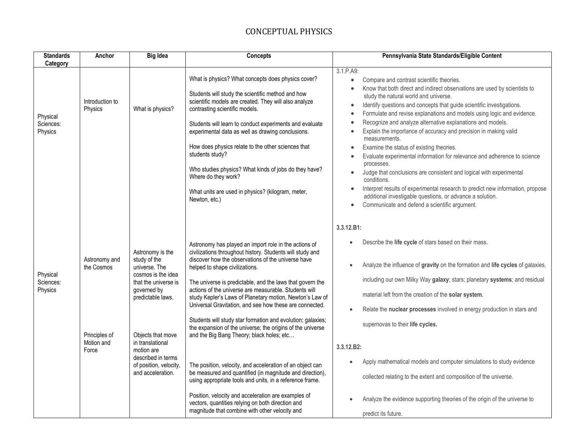| <b>Standards</b><br>Category     | Anchor                                                              | <b>Big Idea</b>                                                                                                                                                                                                                                                 | Concepts                                                                                                                                                                                                                                                                                                                                                                                                                                                                                                                                                                                                                                                                                                                                                                                                                                                                                                                                                                             | Pennsylvania State Standards/Eligible Content                                                                                                                                                                                                                                                                                                                                                                                                                                                                                                                                                                                                                                                                                                                                                                                                                                                                                                                                                                                                    |
|----------------------------------|---------------------------------------------------------------------|-----------------------------------------------------------------------------------------------------------------------------------------------------------------------------------------------------------------------------------------------------------------|--------------------------------------------------------------------------------------------------------------------------------------------------------------------------------------------------------------------------------------------------------------------------------------------------------------------------------------------------------------------------------------------------------------------------------------------------------------------------------------------------------------------------------------------------------------------------------------------------------------------------------------------------------------------------------------------------------------------------------------------------------------------------------------------------------------------------------------------------------------------------------------------------------------------------------------------------------------------------------------|--------------------------------------------------------------------------------------------------------------------------------------------------------------------------------------------------------------------------------------------------------------------------------------------------------------------------------------------------------------------------------------------------------------------------------------------------------------------------------------------------------------------------------------------------------------------------------------------------------------------------------------------------------------------------------------------------------------------------------------------------------------------------------------------------------------------------------------------------------------------------------------------------------------------------------------------------------------------------------------------------------------------------------------------------|
| Physical<br>Sciences:<br>Physics | Introduction to<br>Physics                                          | What is physics?                                                                                                                                                                                                                                                | What is physics? What concepts does physics cover?<br>Students will study the scientific method and how<br>scientific models are created. They will also analyze<br>contrasting scientific models.<br>Students will learn to conduct experiments and evaluate<br>experimental data as well as drawing conclusions.<br>How does physics relate to the other sciences that<br>students study?<br>Who studies physics? What kinds of jobs do they have?<br>Where do they work?<br>What units are used in physics? (kilogram, meter,<br>Newton, etc.)                                                                                                                                                                                                                                                                                                                                                                                                                                    | 3.1.P.A9:<br>Compare and contrast scientific theories.<br>$\bullet$<br>Know that both direct and indirect observations are used by scientists to<br>$\bullet$<br>study the natural world and universe.<br>Identify questions and concepts that guide scientific investigations.<br>$\bullet$<br>Formulate and revise explanations and models using logic and evidence.<br>$\bullet$<br>Recognize and analyze alternative explanations and models.<br>$\bullet$<br>Explain the importance of accuracy and precision in making valid<br>$\bullet$<br>measurements.<br>Examine the status of existing theories.<br>$\bullet$<br>Evaluate experimental information for relevance and adherence to science<br>$\bullet$<br>processes.<br>Judge that conclusions are consistent and logical with experimental<br>$\bullet$<br>conditions.<br>Interpret results of experimental research to predict new information, propose<br>additional investigable questions, or advance a solution.<br>Communicate and defend a scientific argument.<br>$\bullet$ |
| Physical<br>Sciences:<br>Physics | Astronomy and<br>the Cosmos<br>Principles of<br>Motion and<br>Force | Astronomy is the<br>study of the<br>universe. The<br>cosmos is the idea<br>that the universe is<br>governed by<br>predictable laws.<br>Objects that move<br>in translational<br>motion are<br>described in terms<br>of position, velocity,<br>and acceleration. | Astronomy has played an import role in the actions of<br>civilizations throughout history. Students will study and<br>discover how the observations of the universe have<br>helped to shape civilizations.<br>The universe is predictable, and the laws that govern the<br>actions of the universe are measurable. Students will<br>study Kepler's Laws of Planetary motion, Newton's Law of<br>Universal Gravitation, and see how these are connected.<br>Students will study star formation and evolution; galaxies;<br>the expansion of the universe; the origins of the universe<br>and the Big Bang Theory; black holes; etc<br>The position, velocity, and acceleration of an object can<br>be measured and quantified (in magnitude and direction),<br>using appropriate tools and units, in a reference frame.<br>Position, velocity and acceleration are examples of<br>vectors, quantities relying on both direction and<br>magnitude that combine with other velocity and | 3.3.12.B1:<br>Describe the life cycle of stars based on their mass.<br>Analyze the influence of gravity on the formation and life cycles of galaxies,<br>including our own Milky Way galaxy; stars; planetary systems; and residual<br>material left from the creation of the solar system.<br>Relate the nuclear processes involved in energy production in stars and<br>supernovas to their life cycles.<br>3.3.12.B2:<br>Apply mathematical models and computer simulations to study evidence<br>collected relating to the extent and composition of the universe.<br>Analyze the evidence supporting theories of the origin of the universe to<br>predict its future.                                                                                                                                                                                                                                                                                                                                                                        |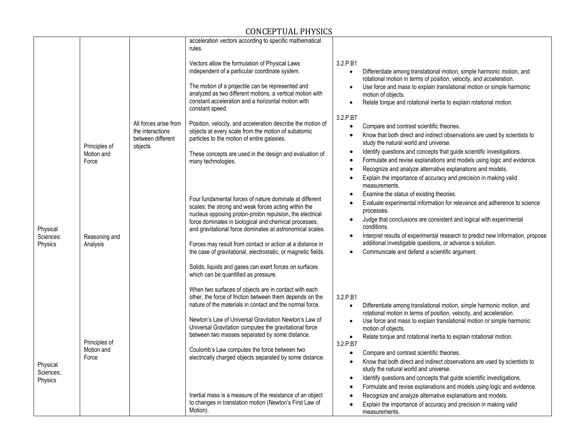|                                  | Principles of<br>Motion and          | All forces arise from<br>the interactions<br>between different<br>objects. | acceleration vectors according to specific mathematical<br>rules.<br>Vectors allow the formulation of Physical Laws<br>independent of a particular coordinate system.<br>The motion of a projectile can be represented and<br>analyzed as two different motions, a vertical motion with<br>constant acceleration and a horizontal motion with<br>constant speed.<br>Position, velocity, and acceleration describe the motion of<br>objects at every scale from the motion of subatomic<br>particles to the motion of entire galaxies.<br>These concepts are used in the design and evaluation of   | 3.2.P.B1<br>Differentiate among translational motion, simple harmonic motion, and<br>$\bullet$<br>rotational motion in terms of position, velocity, and acceleration.<br>Use force and mass to explain translational motion or simple harmonic<br>motion of objects.<br>Relate torque and rotational inertia to explain rotational motion.<br>$\bullet$<br>3.2.P.B7<br>Compare and contrast scientific theories.<br>$\bullet$<br>Know that both direct and indirect observations are used by scientists to<br>$\bullet$<br>study the natural world and universe.<br>Identify questions and concepts that guide scientific investigations.<br>$\bullet$                                                                                                                                                                                                                              |
|----------------------------------|--------------------------------------|----------------------------------------------------------------------------|----------------------------------------------------------------------------------------------------------------------------------------------------------------------------------------------------------------------------------------------------------------------------------------------------------------------------------------------------------------------------------------------------------------------------------------------------------------------------------------------------------------------------------------------------------------------------------------------------|-------------------------------------------------------------------------------------------------------------------------------------------------------------------------------------------------------------------------------------------------------------------------------------------------------------------------------------------------------------------------------------------------------------------------------------------------------------------------------------------------------------------------------------------------------------------------------------------------------------------------------------------------------------------------------------------------------------------------------------------------------------------------------------------------------------------------------------------------------------------------------------|
| Physical<br>Sciences:<br>Physics | Force<br>Reasoning and<br>Analysis   |                                                                            | many technologies.<br>Four fundamental forces of nature dominate at different<br>scales: the strong and weak forces acting within the<br>nucleus opposing proton-proton repulsion, the electrical<br>force dominates in biological and chemical processes,<br>and gravitational force dominates at astronomical scales.<br>Forces may result from contact or action at a distance in<br>the case of gravitational, electrostatic, or magnetic fields.<br>Solids, liquids and gases can exert forces on surfaces<br>which can be quantified as pressure.                                            | Formulate and revise explanations and models using logic and evidence.<br>$\bullet$<br>Recognize and analyze alternative explanations and models.<br>Explain the importance of accuracy and precision in making valid<br>measurements.<br>Examine the status of existing theories.<br>Evaluate experimental information for relevance and adherence to science<br>processes.<br>Judge that conclusions are consistent and logical with experimental<br>conditions.<br>Interpret results of experimental research to predict new information, propose<br>additional investigable questions, or advance a solution.<br>Communicate and defend a scientific argument.                                                                                                                                                                                                                  |
| Physical<br>Sciences:<br>Physics | Principles of<br>Motion and<br>Force |                                                                            | When two surfaces of objects are in contact with each<br>other, the force of friction between them depends on the<br>nature of the materials in contact and the normal force.<br>Newton's Law of Universal Gravitation Newton's Law of<br>Universal Gravitation computes the gravitational force<br>between two masses separated by some distance.<br>Coulomb's Law computes the force between two<br>electrically charged objects separated by some distance.<br>Inertial mass is a measure of the resistance of an object<br>to changes in translation motion (Newton's First Law of<br>Motion). | 3.2.P.B1<br>Differentiate among translational motion, simple harmonic motion, and<br>$\bullet$<br>rotational motion in terms of position, velocity, and acceleration.<br>Use force and mass to explain translational motion or simple harmonic<br>motion of objects.<br>Relate torque and rotational inertia to explain rotational motion.<br>$\bullet$<br>3.2.P.B7<br>Compare and contrast scientific theories.<br>$\bullet$<br>Know that both direct and indirect observations are used by scientists to<br>$\bullet$<br>study the natural world and universe.<br>Identify questions and concepts that guide scientific investigations.<br>$\bullet$<br>Formulate and revise explanations and models using logic and evidence.<br>Recognize and analyze alternative explanations and models.<br>Explain the importance of accuracy and precision in making valid<br>measurements. |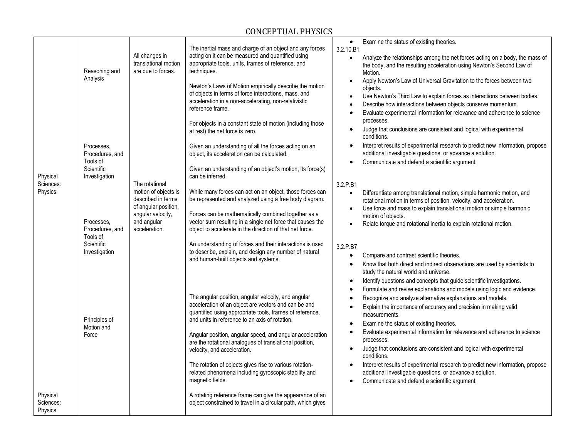|                                  |                                           |                                                                                                                                           | The inertial mass and charge of an object and any forces                                                                                                                                                                  | Examine the status of existing theories.<br>$\bullet$<br>3.2.10.B1                                                                                                                                                                                                                                                        |
|----------------------------------|-------------------------------------------|-------------------------------------------------------------------------------------------------------------------------------------------|---------------------------------------------------------------------------------------------------------------------------------------------------------------------------------------------------------------------------|---------------------------------------------------------------------------------------------------------------------------------------------------------------------------------------------------------------------------------------------------------------------------------------------------------------------------|
|                                  | Reasoning and                             | All changes in<br>translational motion<br>are due to forces.                                                                              | acting on it can be measured and quantified using<br>appropriate tools, units, frames of reference, and<br>techniques.                                                                                                    | Analyze the relationships among the net forces acting on a body, the mass of<br>$\bullet$<br>the body, and the resulting acceleration using Newton's Second Law of<br>Motion.                                                                                                                                             |
|                                  | Analysis                                  |                                                                                                                                           | Newton's Laws of Motion empirically describe the motion<br>of objects in terms of force interactions, mass, and<br>acceleration in a non-accelerating, non-relativistic<br>reference frame.                               | Apply Newton's Law of Universal Gravitation to the forces between two<br>$\bullet$<br>objects.<br>Use Newton's Third Law to explain forces as interactions between bodies.<br>$\bullet$<br>Describe how interactions between objects conserve momentum.                                                                   |
|                                  |                                           | The rotational<br>motion of objects is<br>described in terms<br>of angular position,<br>angular velocity,<br>and angular<br>acceleration. | For objects in a constant state of motion (including those<br>at rest) the net force is zero.                                                                                                                             | Evaluate experimental information for relevance and adherence to science<br>$\bullet$<br>processes.<br>Judge that conclusions are consistent and logical with experimental<br>conditions.                                                                                                                                 |
|                                  | Processes.<br>Procedures, and             |                                                                                                                                           | Given an understanding of all the forces acting on an<br>object, its acceleration can be calculated.                                                                                                                      | Interpret results of experimental research to predict new information, propose<br>$\bullet$<br>additional investigable questions, or advance a solution.                                                                                                                                                                  |
| Physical                         | Tools of<br>Scientific<br>Investigation   |                                                                                                                                           | Given an understanding of an object's motion, its force(s)<br>can be inferred.                                                                                                                                            | Communicate and defend a scientific argument.<br>$\bullet$                                                                                                                                                                                                                                                                |
| Sciences:<br>Physics             |                                           |                                                                                                                                           | While many forces can act on an object, those forces can<br>be represented and analyzed using a free body diagram.                                                                                                        | 3.2.P.B1<br>Differentiate among translational motion, simple harmonic motion, and<br>$\bullet$<br>rotational motion in terms of position, velocity, and acceleration.<br>Use force and mass to explain translational motion or simple harmonic<br>$\bullet$                                                               |
|                                  | Processes,<br>Procedures, and<br>Tools of |                                                                                                                                           | Forces can be mathematically combined together as a<br>vector sum resulting in a single net force that causes the<br>object to accelerate in the direction of that net force.                                             | motion of objects.<br>Relate torque and rotational inertia to explain rotational motion.<br>$\bullet$                                                                                                                                                                                                                     |
|                                  | Scientific<br>Investigation               |                                                                                                                                           | An understanding of forces and their interactions is used<br>to describe, explain, and design any number of natural<br>and human-built objects and systems.                                                               | 3.2.P.B7<br>Compare and contrast scientific theories.<br>$\bullet$<br>Know that both direct and indirect observations are used by scientists to<br>$\bullet$                                                                                                                                                              |
|                                  |                                           |                                                                                                                                           |                                                                                                                                                                                                                           | study the natural world and universe.<br>Identify questions and concepts that guide scientific investigations.<br>$\bullet$                                                                                                                                                                                               |
|                                  | Principles of<br>Motion and               |                                                                                                                                           | The angular position, angular velocity, and angular<br>acceleration of an object are vectors and can be and<br>quantified using appropriate tools, frames of reference,<br>and units in reference to an axis of rotation. | Formulate and revise explanations and models using logic and evidence.<br>$\bullet$<br>Recognize and analyze alternative explanations and models.<br>$\bullet$<br>Explain the importance of accuracy and precision in making valid<br>$\bullet$<br>measurements.<br>Examine the status of existing theories.<br>$\bullet$ |
|                                  | Force                                     |                                                                                                                                           | Angular position, angular speed, and angular acceleration<br>are the rotational analogues of translational position,<br>velocity, and acceleration.                                                                       | Evaluate experimental information for relevance and adherence to science<br>$\bullet$<br>processes.<br>Judge that conclusions are consistent and logical with experimental<br>$\bullet$<br>conditions.                                                                                                                    |
|                                  |                                           |                                                                                                                                           | The rotation of objects gives rise to various rotation-<br>related phenomena including gyroscopic stability and<br>magnetic fields.                                                                                       | Interpret results of experimental research to predict new information, propose<br>$\bullet$<br>additional investigable questions, or advance a solution.<br>Communicate and defend a scientific argument.<br>$\bullet$                                                                                                    |
| Physical<br>Sciences:<br>Physics |                                           |                                                                                                                                           | A rotating reference frame can give the appearance of an<br>object constrained to travel in a circular path, which gives                                                                                                  |                                                                                                                                                                                                                                                                                                                           |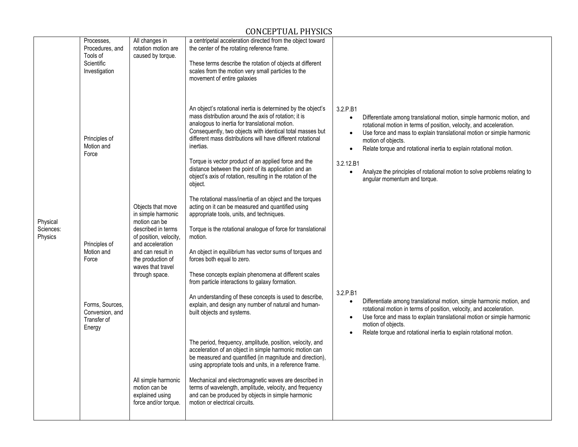|                                  | Processes,<br>Procedures, and<br>Tools of<br>Scientific<br>Investigation   | All changes in<br>rotation motion are<br>caused by torque.                                                                                                                                                    | a centripetal acceleration directed from the object toward<br>the center of the rotating reference frame.<br>These terms describe the rotation of objects at different<br>scales from the motion very small particles to the<br>movement of entire galaxies                                                                                                                                                                                                                                                                                                                                |                                                                                                                                                                                                                                                                                                                                                                                                                                                                                   |
|----------------------------------|----------------------------------------------------------------------------|---------------------------------------------------------------------------------------------------------------------------------------------------------------------------------------------------------------|--------------------------------------------------------------------------------------------------------------------------------------------------------------------------------------------------------------------------------------------------------------------------------------------------------------------------------------------------------------------------------------------------------------------------------------------------------------------------------------------------------------------------------------------------------------------------------------------|-----------------------------------------------------------------------------------------------------------------------------------------------------------------------------------------------------------------------------------------------------------------------------------------------------------------------------------------------------------------------------------------------------------------------------------------------------------------------------------|
|                                  | Principles of<br>Motion and<br>Force                                       |                                                                                                                                                                                                               | An object's rotational inertia is determined by the object's<br>mass distribution around the axis of rotation; it is<br>analogous to inertia for translational motion.<br>Consequently, two objects with identical total masses but<br>different mass distributions will have different rotational<br>inertias.<br>Torque is vector product of an applied force and the<br>distance between the point of its application and an<br>object's axis of rotation, resulting in the rotation of the<br>object.                                                                                  | 3.2.P.B1<br>Differentiate among translational motion, simple harmonic motion, and<br>$\bullet$<br>rotational motion in terms of position, velocity, and acceleration.<br>Use force and mass to explain translational motion or simple harmonic<br>motion of objects.<br>Relate torque and rotational inertia to explain rotational motion.<br>3.2.12.B1<br>Analyze the principles of rotational motion to solve problems relating to<br>$\bullet$<br>angular momentum and torque. |
| Physical<br>Sciences:<br>Physics | Principles of<br>Motion and<br>Force<br>Forms, Sources,<br>Conversion, and | Objects that move<br>in simple harmonic<br>motion can be<br>described in terms<br>of position, velocity,<br>and acceleration<br>and can result in<br>the production of<br>waves that travel<br>through space. | The rotational mass/inertia of an object and the torques<br>acting on it can be measured and quantified using<br>appropriate tools, units, and techniques.<br>Torque is the rotational analogue of force for translational<br>motion.<br>An object in equilibrium has vector sums of torques and<br>forces both equal to zero.<br>These concepts explain phenomena at different scales<br>from particle interactions to galaxy formation.<br>An understanding of these concepts is used to describe,<br>explain, and design any number of natural and human-<br>built objects and systems. | 3.2.P.B1<br>Differentiate among translational motion, simple harmonic motion, and<br>$\bullet$<br>rotational motion in terms of position, velocity, and acceleration.                                                                                                                                                                                                                                                                                                             |
|                                  | Transfer of<br>Energy                                                      | All simple harmonic<br>motion can be<br>explained using<br>force and/or torque.                                                                                                                               | The period, frequency, amplitude, position, velocity, and<br>acceleration of an object in simple harmonic motion can<br>be measured and quantified (in magnitude and direction),<br>using appropriate tools and units, in a reference frame.<br>Mechanical and electromagnetic waves are described in<br>terms of wavelength, amplitude, velocity, and frequency<br>and can be produced by objects in simple harmonic<br>motion or electrical circuits.                                                                                                                                    | Use force and mass to explain translational motion or simple harmonic<br>motion of objects.<br>Relate torque and rotational inertia to explain rotational motion.                                                                                                                                                                                                                                                                                                                 |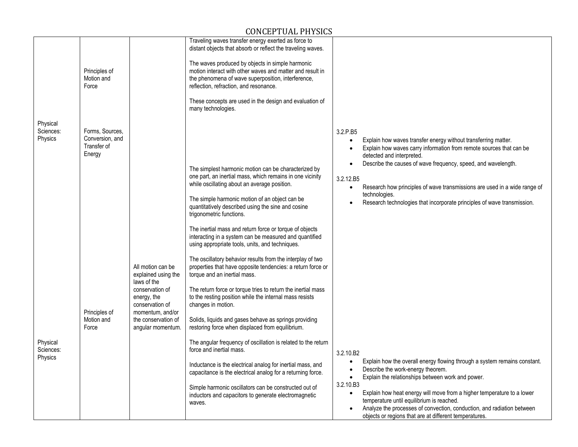|                                  |                                                             |                                                                       | Traveling waves transfer energy exerted as force to<br>distant objects that absorb or reflect the traveling waves.                                                                                                                                                       |                                                                                                                                                                                                                                                                                                |
|----------------------------------|-------------------------------------------------------------|-----------------------------------------------------------------------|--------------------------------------------------------------------------------------------------------------------------------------------------------------------------------------------------------------------------------------------------------------------------|------------------------------------------------------------------------------------------------------------------------------------------------------------------------------------------------------------------------------------------------------------------------------------------------|
|                                  | Principles of<br>Motion and<br>Force                        |                                                                       | The waves produced by objects in simple harmonic<br>motion interact with other waves and matter and result in<br>the phenomena of wave superposition, interference,<br>reflection, refraction, and resonance.<br>These concepts are used in the design and evaluation of |                                                                                                                                                                                                                                                                                                |
|                                  |                                                             |                                                                       | many technologies.                                                                                                                                                                                                                                                       |                                                                                                                                                                                                                                                                                                |
| Physical<br>Sciences:<br>Physics | Forms, Sources,<br>Conversion, and<br>Transfer of<br>Energy |                                                                       |                                                                                                                                                                                                                                                                          | 3.2.P.B5<br>Explain how waves transfer energy without transferring matter.<br>Explain how waves carry information from remote sources that can be<br>detected and interpreted.                                                                                                                 |
|                                  |                                                             |                                                                       | The simplest harmonic motion can be characterized by<br>one part, an inertial mass, which remains in one vicinity<br>while oscillating about an average position.                                                                                                        | Describe the causes of wave frequency, speed, and wavelength.<br>3.2.12.B5<br>Research how principles of wave transmissions are used in a wide range of<br>$\bullet$<br>technologies.                                                                                                          |
|                                  |                                                             |                                                                       | The simple harmonic motion of an object can be<br>quantitatively described using the sine and cosine<br>trigonometric functions.                                                                                                                                         | Research technologies that incorporate principles of wave transmission.                                                                                                                                                                                                                        |
|                                  |                                                             |                                                                       | The inertial mass and return force or torque of objects<br>interacting in a system can be measured and quantified<br>using appropriate tools, units, and techniques.                                                                                                     |                                                                                                                                                                                                                                                                                                |
|                                  |                                                             | All motion can be<br>explained using the<br>laws of the               | The oscillatory behavior results from the interplay of two<br>properties that have opposite tendencies: a return force or<br>torque and an inertial mass.                                                                                                                |                                                                                                                                                                                                                                                                                                |
|                                  | Principles of                                               | conservation of<br>energy, the<br>conservation of<br>momentum, and/or | The return force or torque tries to return the inertial mass<br>to the resting position while the internal mass resists<br>changes in motion.                                                                                                                            |                                                                                                                                                                                                                                                                                                |
|                                  | Motion and<br>Force                                         | the conservation of<br>angular momentum.                              | Solids, liquids and gases behave as springs providing<br>restoring force when displaced from equilibrium.                                                                                                                                                                |                                                                                                                                                                                                                                                                                                |
| Physical<br>Sciences:<br>Physics |                                                             |                                                                       | The angular frequency of oscillation is related to the return<br>force and inertial mass.                                                                                                                                                                                | 3.2.10.B2                                                                                                                                                                                                                                                                                      |
|                                  |                                                             |                                                                       | Inductance is the electrical analog for inertial mass, and<br>capacitance is the electrical analog for a returning force.                                                                                                                                                | Explain how the overall energy flowing through a system remains constant.<br>Describe the work-energy theorem.<br>Explain the relationships between work and power.                                                                                                                            |
|                                  |                                                             |                                                                       | Simple harmonic oscillators can be constructed out of<br>inductors and capacitors to generate electromagnetic<br>waves.                                                                                                                                                  | 3.2.10.B3<br>Explain how heat energy will move from a higher temperature to a lower<br>$\bullet$<br>temperature until equilibrium is reached.<br>Analyze the processes of convection, conduction, and radiation between<br>$\bullet$<br>objects or regions that are at different temperatures. |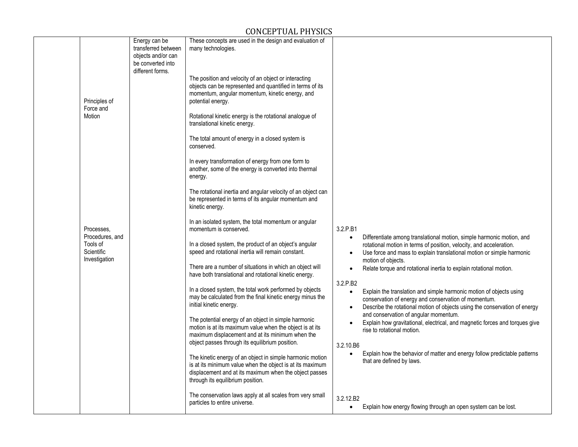|                                         | Energy can be<br>transferred between<br>objects and/or can<br>be converted into<br>different forms. | These concepts are used in the design and evaluation of<br>many technologies.<br>The position and velocity of an object or interacting<br>objects can be represented and quantified in terms of its                   |                        |                                                                                                                                                                                                           |
|-----------------------------------------|-----------------------------------------------------------------------------------------------------|-----------------------------------------------------------------------------------------------------------------------------------------------------------------------------------------------------------------------|------------------------|-----------------------------------------------------------------------------------------------------------------------------------------------------------------------------------------------------------|
| Principles of<br>Force and<br>Motion    |                                                                                                     | momentum, angular momentum, kinetic energy, and<br>potential energy.<br>Rotational kinetic energy is the rotational analogue of                                                                                       |                        |                                                                                                                                                                                                           |
|                                         |                                                                                                     | translational kinetic energy.                                                                                                                                                                                         |                        |                                                                                                                                                                                                           |
|                                         |                                                                                                     | The total amount of energy in a closed system is<br>conserved.                                                                                                                                                        |                        |                                                                                                                                                                                                           |
|                                         |                                                                                                     | In every transformation of energy from one form to<br>another, some of the energy is converted into thermal<br>energy.                                                                                                |                        |                                                                                                                                                                                                           |
|                                         |                                                                                                     | The rotational inertia and angular velocity of an object can<br>be represented in terms of its angular momentum and<br>kinetic energy.                                                                                |                        |                                                                                                                                                                                                           |
| Processes.<br>Procedures, and           |                                                                                                     | In an isolated system, the total momentum or angular<br>momentum is conserved.                                                                                                                                        | 3.2.P.B1               | Differentiate among translational motion, simple harmonic motion, and                                                                                                                                     |
| Tools of<br>Scientific<br>Investigation |                                                                                                     | In a closed system, the product of an object's angular<br>speed and rotational inertia will remain constant.                                                                                                          |                        | rotational motion in terms of position, velocity, and acceleration.<br>Use force and mass to explain translational motion or simple harmonic<br>motion of objects.                                        |
|                                         |                                                                                                     | There are a number of situations in which an object will<br>have both translational and rotational kinetic energy.                                                                                                    | 3.2.P.B2               | Relate torque and rotational inertia to explain rotational motion.                                                                                                                                        |
|                                         |                                                                                                     | In a closed system, the total work performed by objects<br>may be calculated from the final kinetic energy minus the<br>initial kinetic energy.                                                                       | $\bullet$              | Explain the translation and simple harmonic motion of objects using<br>conservation of energy and conservation of momentum.<br>Describe the rotational motion of objects using the conservation of energy |
|                                         |                                                                                                     | The potential energy of an object in simple harmonic<br>motion is at its maximum value when the object is at its<br>maximum displacement and at its minimum when the                                                  |                        | and conservation of angular momentum.<br>Explain how gravitational, electrical, and magnetic forces and torques give<br>rise to rotational motion.                                                        |
|                                         |                                                                                                     | object passes through its equilibrium position.                                                                                                                                                                       | 3.2.10.B6<br>$\bullet$ | Explain how the behavior of matter and energy follow predictable patterns                                                                                                                                 |
|                                         |                                                                                                     | The kinetic energy of an object in simple harmonic motion<br>is at its minimum value when the object is at its maximum<br>displacement and at its maximum when the object passes<br>through its equilibrium position. |                        | that are defined by laws.                                                                                                                                                                                 |
|                                         |                                                                                                     | The conservation laws apply at all scales from very small<br>particles to entire universe.                                                                                                                            | 3.2.12.B2<br>$\bullet$ | Explain how energy flowing through an open system can be lost.                                                                                                                                            |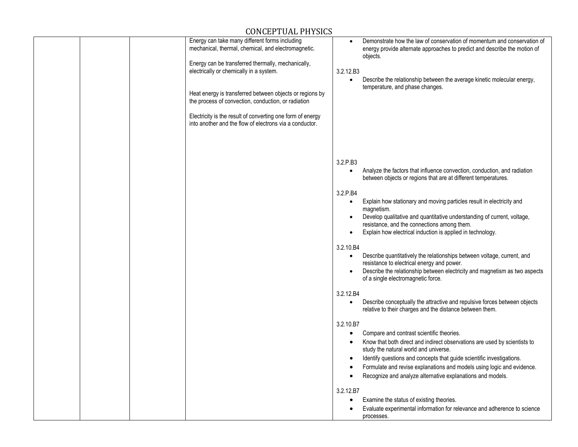|  | Energy can take many different forms including<br>mechanical, thermal, chemical, and electromagnetic.                 |           | Demonstrate how the law of conservation of momentum and conservation of<br>energy provide alternate approaches to predict and describe the motion of<br>objects. |
|--|-----------------------------------------------------------------------------------------------------------------------|-----------|------------------------------------------------------------------------------------------------------------------------------------------------------------------|
|  | Energy can be transferred thermally, mechanically,                                                                    |           |                                                                                                                                                                  |
|  | electrically or chemically in a system.                                                                               | 3.2.12.B3 |                                                                                                                                                                  |
|  |                                                                                                                       | $\bullet$ | Describe the relationship between the average kinetic molecular energy,<br>temperature, and phase changes.                                                       |
|  | Heat energy is transferred between objects or regions by                                                              |           |                                                                                                                                                                  |
|  | the process of convection, conduction, or radiation                                                                   |           |                                                                                                                                                                  |
|  | Electricity is the result of converting one form of energy<br>into another and the flow of electrons via a conductor. |           |                                                                                                                                                                  |
|  |                                                                                                                       |           |                                                                                                                                                                  |
|  |                                                                                                                       |           |                                                                                                                                                                  |
|  |                                                                                                                       | 3.2.P.B3  | Analyze the factors that influence convection, conduction, and radiation                                                                                         |
|  |                                                                                                                       |           | between objects or regions that are at different temperatures.                                                                                                   |
|  |                                                                                                                       | 3.2.P.B4  |                                                                                                                                                                  |
|  |                                                                                                                       | $\bullet$ | Explain how stationary and moving particles result in electricity and                                                                                            |
|  |                                                                                                                       |           | magnetism.<br>Develop qualitative and quantitative understanding of current, voltage,                                                                            |
|  |                                                                                                                       |           | resistance, and the connections among them.                                                                                                                      |
|  |                                                                                                                       |           | Explain how electrical induction is applied in technology.                                                                                                       |
|  |                                                                                                                       | 3.2.10.B4 |                                                                                                                                                                  |
|  |                                                                                                                       | $\bullet$ | Describe quantitatively the relationships between voltage, current, and                                                                                          |
|  |                                                                                                                       |           | resistance to electrical energy and power.<br>Describe the relationship between electricity and magnetism as two aspects<br>of a single electromagnetic force.   |
|  |                                                                                                                       |           |                                                                                                                                                                  |
|  |                                                                                                                       | 3.2.12.B4 |                                                                                                                                                                  |
|  |                                                                                                                       |           | Describe conceptually the attractive and repulsive forces between objects<br>relative to their charges and the distance between them.                            |
|  |                                                                                                                       | 3.2.10.B7 |                                                                                                                                                                  |
|  |                                                                                                                       |           | Compare and contrast scientific theories.                                                                                                                        |
|  |                                                                                                                       |           | Know that both direct and indirect observations are used by scientists to<br>study the natural world and universe.                                               |
|  |                                                                                                                       |           | Identify questions and concepts that guide scientific investigations.                                                                                            |
|  |                                                                                                                       |           | Formulate and revise explanations and models using logic and evidence.                                                                                           |
|  |                                                                                                                       |           | Recognize and analyze alternative explanations and models.                                                                                                       |
|  |                                                                                                                       | 3.2.12.B7 |                                                                                                                                                                  |
|  |                                                                                                                       |           | Examine the status of existing theories.                                                                                                                         |
|  |                                                                                                                       |           | Evaluate experimental information for relevance and adherence to science<br>processes.                                                                           |